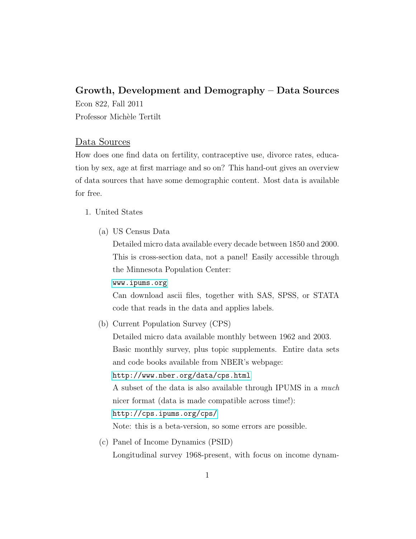## Growth, Development and Demography – Data Sources

Econ 822, Fall 2011 Professor Michèle Tertilt

## Data Sources

How does one find data on fertility, contraceptive use, divorce rates, education by sex, age at first marriage and so on? This hand-out gives an overview of data sources that have some demographic content. Most data is available for free.

## 1. United States

(a) US Census Data

Detailed micro data available every decade between 1850 and 2000. This is cross-section data, not a panel! Easily accessible through the Minnesota Population Center:

<www.ipums.org>

Can download ascii files, together with SAS, SPSS, or STATA code that reads in the data and applies labels.

(b) Current Population Survey (CPS)

Detailed micro data available monthly between 1962 and 2003. Basic monthly survey, plus topic supplements. Entire data sets and code books available from NBER's webpage:

## <http://www.nber.org/data/cps.html>

A subset of the data is also available through IPUMS in a much nicer format (data is made compatible across time!): <http://cps.ipums.org/cps/>

Note: this is a beta-version, so some errors are possible.

(c) Panel of Income Dynamics (PSID) Longitudinal survey 1968-present, with focus on income dynam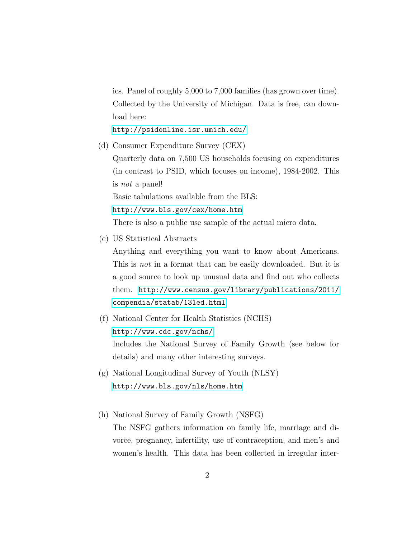ics. Panel of roughly 5,000 to 7,000 families (has grown over time). Collected by the University of Michigan. Data is free, can download here:

<http://psidonline.isr.umich.edu/>

(d) Consumer Expenditure Survey (CEX)

Quarterly data on 7,500 US households focusing on expenditures (in contrast to PSID, which focuses on income), 1984-2002. This is not a panel!

Basic tabulations available from the BLS:

<http://www.bls.gov/cex/home.htm>

There is also a public use sample of the actual micro data.

(e) US Statistical Abstracts

Anything and everything you want to know about Americans. This is not in a format that can be easily downloaded. But it is a good source to look up unusual data and find out who collects them. [http://www.census.gov/library/publications/2011/](http://www.census.gov/library/publications/2011/compendia/statab/131ed.html) [compendia/statab/131ed.html](http://www.census.gov/library/publications/2011/compendia/statab/131ed.html)

- (f) National Center for Health Statistics (NCHS) <http://www.cdc.gov/nchs/> Includes the National Survey of Family Growth (see below for details) and many other interesting surveys.
- (g) National Longitudinal Survey of Youth (NLSY) <http://www.bls.gov/nls/home.htm>
- (h) National Survey of Family Growth (NSFG) The NSFG gathers information on family life, marriage and divorce, pregnancy, infertility, use of contraception, and men's and women's health. This data has been collected in irregular inter-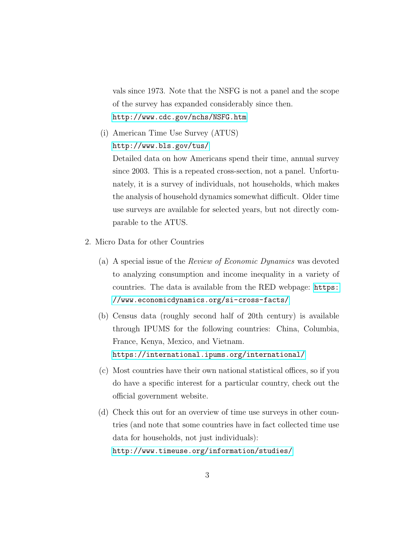vals since 1973. Note that the NSFG is not a panel and the scope of the survey has expanded considerably since then. <http://www.cdc.gov/nchs/NSFG.htm>

(i) American Time Use Survey (ATUS) <http://www.bls.gov/tus/>

Detailed data on how Americans spend their time, annual survey since 2003. This is a repeated cross-section, not a panel. Unfortunately, it is a survey of individuals, not households, which makes the analysis of household dynamics somewhat difficult. Older time use surveys are available for selected years, but not directly comparable to the ATUS.

- 2. Micro Data for other Countries
	- (a) A special issue of the Review of Economic Dynamics was devoted to analyzing consumption and income inequality in a variety of countries. The data is available from the RED webpage: [https:](https://www.economicdynamics.org/si-cross-facts/) [//www.economicdynamics.org/si-cross-facts/](https://www.economicdynamics.org/si-cross-facts/)
	- (b) Census data (roughly second half of 20th century) is available through IPUMS for the following countries: China, Columbia, France, Kenya, Mexico, and Vietnam. <https://international.ipums.org/international/>
	- (c) Most countries have their own national statistical offices, so if you do have a specific interest for a particular country, check out the official government website.
	- (d) Check this out for an overview of time use surveys in other countries (and note that some countries have in fact collected time use data for households, not just individuals): <http://www.timeuse.org/information/studies/>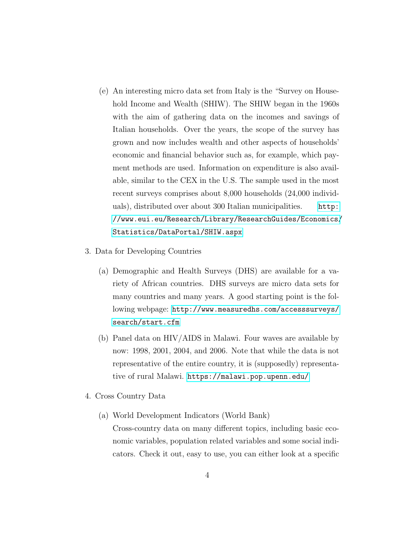- (e) An interesting micro data set from Italy is the "Survey on Household Income and Wealth (SHIW). The SHIW began in the 1960s with the aim of gathering data on the incomes and savings of Italian households. Over the years, the scope of the survey has grown and now includes wealth and other aspects of households' economic and financial behavior such as, for example, which payment methods are used. Information on expenditure is also available, similar to the CEX in the U.S. The sample used in the most recent surveys comprises about 8,000 households (24,000 individuals), distributed over about 300 Italian municipalities. [http:](http://www.eui.eu/Research/Library/ResearchGuides/Economics/Statistics/DataPortal/SHIW.aspx) [//www.eui.eu/Research/Library/ResearchGuides/Economics/](http://www.eui.eu/Research/Library/ResearchGuides/Economics/Statistics/DataPortal/SHIW.aspx) [Statistics/DataPortal/SHIW.aspx](http://www.eui.eu/Research/Library/ResearchGuides/Economics/Statistics/DataPortal/SHIW.aspx)
- 3. Data for Developing Countries
	- (a) Demographic and Health Surveys (DHS) are available for a variety of African countries. DHS surveys are micro data sets for many countries and many years. A good starting point is the following webpage: [http://www.measuredhs.com/accesssurveys/](http://www.measuredhs.com/accesssurveys/search/start.cfm) [search/start.cfm](http://www.measuredhs.com/accesssurveys/search/start.cfm)
	- (b) Panel data on HIV/AIDS in Malawi. Four waves are available by now: 1998, 2001, 2004, and 2006. Note that while the data is not representative of the entire country, it is (supposedly) representative of rural Malawi. <https://malawi.pop.upenn.edu/>
- 4. Cross Country Data
	- (a) World Development Indicators (World Bank) Cross-country data on many different topics, including basic economic variables, population related variables and some social indicators. Check it out, easy to use, you can either look at a specific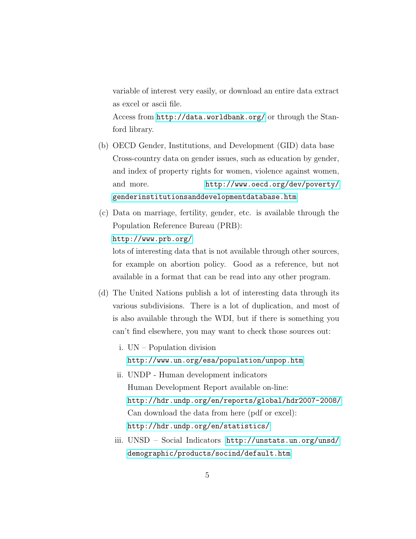variable of interest very easily, or download an entire data extract as excel or ascii file.

Access from <http://data.worldbank.org/> or through the Stanford library.

- (b) OECD Gender, Institutions, and Development (GID) data base Cross-country data on gender issues, such as education by gender, and index of property rights for women, violence against women, and more. [http://www.oecd.org/dev/poverty/](http://www.oecd.org/dev/poverty/genderinstitutionsanddevelopmentdatabase.htm) [genderinstitutionsanddevelopmentdatabase.htm](http://www.oecd.org/dev/poverty/genderinstitutionsanddevelopmentdatabase.htm)
- (c) Data on marriage, fertility, gender, etc. is available through the Population Reference Bureau (PRB): <http://www.prb.org/> lots of interesting data that is not available through other sources, for example on abortion policy. Good as a reference, but not

available in a format that can be read into any other program.

- (d) The United Nations publish a lot of interesting data through its various subdivisions. There is a lot of duplication, and most of is also available through the WDI, but if there is something you can't find elsewhere, you may want to check those sources out:
	- i. UN Population division <http://www.un.org/esa/population/unpop.htm>
	- ii. UNDP Human development indicators Human Development Report available on-line: <http://hdr.undp.org/en/reports/global/hdr2007-2008/> Can download the data from here (pdf or excel): <http://hdr.undp.org/en/statistics/>
	- iii. UNSD Social Indicators [http://unstats.un.org/unsd/](http://unstats.un.org/unsd/demographic/products/socind/default.htm) [demographic/products/socind/default.htm](http://unstats.un.org/unsd/demographic/products/socind/default.htm)